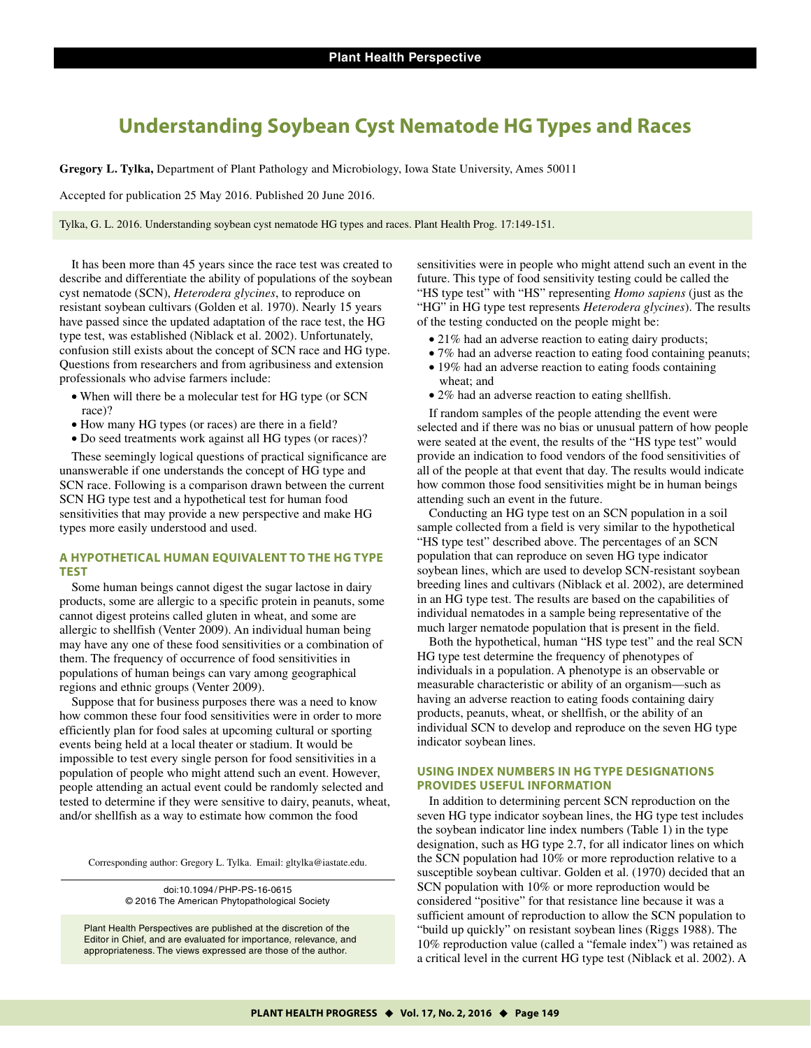# **Understanding Soybean Cyst Nematode HG Types and Races**

**Gregory L. Tylka,** Department of Plant Pathology and Microbiology, Iowa State University, Ames 50011

Accepted for publication 25 May 2016. Published 20 June 2016.

Tylka, G. L. 2016. Understanding soybean cyst nematode HG types and races. Plant Health Prog. 17:149-151.

It has been more than 45 years since the race test was created to describe and differentiate the ability of populations of the soybean cyst nematode (SCN), *Heterodera glycines*, to reproduce on resistant soybean cultivars (Golden et al. 1970). Nearly 15 years have passed since the updated adaptation of the race test, the HG type test, was established (Niblack et al. 2002). Unfortunately, confusion still exists about the concept of SCN race and HG type. Questions from researchers and from agribusiness and extension professionals who advise farmers include:

- When will there be a molecular test for HG type (or SCN race)?
- How many HG types (or races) are there in a field?
- Do seed treatments work against all HG types (or races)?

These seemingly logical questions of practical significance are unanswerable if one understands the concept of HG type and SCN race. Following is a comparison drawn between the current SCN HG type test and a hypothetical test for human food sensitivities that may provide a new perspective and make HG types more easily understood and used.

## **A HYPOTHETICAL HUMAN EQUIVALENT TO THE HG TYPE TEST**

Some human beings cannot digest the sugar lactose in dairy products, some are allergic to a specific protein in peanuts, some cannot digest proteins called gluten in wheat, and some are allergic to shellfish (Venter 2009). An individual human being may have any one of these food sensitivities or a combination of them. The frequency of occurrence of food sensitivities in populations of human beings can vary among geographical regions and ethnic groups (Venter 2009).

Suppose that for business purposes there was a need to know how common these four food sensitivities were in order to more efficiently plan for food sales at upcoming cultural or sporting events being held at a local theater or stadium. It would be impossible to test every single person for food sensitivities in a population of people who might attend such an event. However, people attending an actual event could be randomly selected and tested to determine if they were sensitive to dairy, peanuts, wheat, and/or shellfish as a way to estimate how common the food

Corresponding author: Gregory L. Tylka. Email: gltylka@iastate.edu.

doi:10.1094/ PHP-PS-16-0615 © 2016 The American Phytopathological Society

Plant Health Perspectives are published at the discretion of the Editor in Chief, and are evaluated for importance, relevance, and appropriateness. The views expressed are those of the author.

sensitivities were in people who might attend such an event in the future. This type of food sensitivity testing could be called the "HS type test" with "HS" representing *Homo sapiens* (just as the "HG" in HG type test represents *Heterodera glycines*). The results of the testing conducted on the people might be:

- 21% had an adverse reaction to eating dairy products;
- 7% had an adverse reaction to eating food containing peanuts;
- 19% had an adverse reaction to eating foods containing wheat; and
- 2% had an adverse reaction to eating shellfish.

If random samples of the people attending the event were selected and if there was no bias or unusual pattern of how people were seated at the event, the results of the "HS type test" would provide an indication to food vendors of the food sensitivities of all of the people at that event that day. The results would indicate how common those food sensitivities might be in human beings attending such an event in the future.

Conducting an HG type test on an SCN population in a soil sample collected from a field is very similar to the hypothetical "HS type test" described above. The percentages of an SCN population that can reproduce on seven HG type indicator soybean lines, which are used to develop SCN-resistant soybean breeding lines and cultivars (Niblack et al. 2002), are determined in an HG type test. The results are based on the capabilities of individual nematodes in a sample being representative of the much larger nematode population that is present in the field.

Both the hypothetical, human "HS type test" and the real SCN HG type test determine the frequency of phenotypes of individuals in a population. A phenotype is an observable or measurable characteristic or ability of an organism—such as having an adverse reaction to eating foods containing dairy products, peanuts, wheat, or shellfish, or the ability of an individual SCN to develop and reproduce on the seven HG type indicator soybean lines.

## **USING INDEX NUMBERS IN HG TYPE DESIGNATIONS PROVIDES USEFUL INFORMATION**

In addition to determining percent SCN reproduction on the seven HG type indicator soybean lines, the HG type test includes the soybean indicator line index numbers (Table 1) in the type designation, such as HG type 2.7, for all indicator lines on which the SCN population had 10% or more reproduction relative to a susceptible soybean cultivar. Golden et al. (1970) decided that an SCN population with 10% or more reproduction would be considered "positive" for that resistance line because it was a sufficient amount of reproduction to allow the SCN population to "build up quickly" on resistant soybean lines (Riggs 1988). The 10% reproduction value (called a "female index") was retained as a critical level in the current HG type test (Niblack et al. 2002). A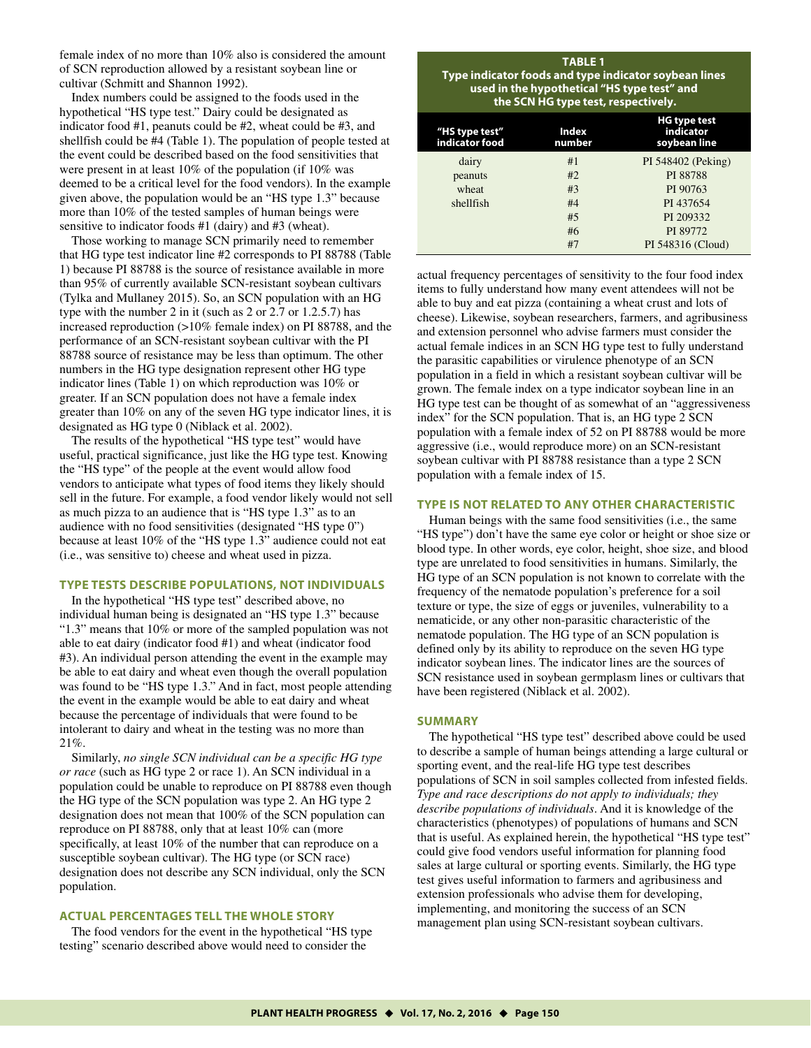female index of no more than 10% also is considered the amount of SCN reproduction allowed by a resistant soybean line or cultivar (Schmitt and Shannon 1992).

Index numbers could be assigned to the foods used in the hypothetical "HS type test." Dairy could be designated as indicator food #1, peanuts could be #2, wheat could be #3, and shellfish could be #4 (Table 1). The population of people tested at the event could be described based on the food sensitivities that were present in at least 10% of the population (if 10% was deemed to be a critical level for the food vendors). In the example given above, the population would be an "HS type 1.3" because more than 10% of the tested samples of human beings were sensitive to indicator foods #1 (dairy) and #3 (wheat).

Those working to manage SCN primarily need to remember that HG type test indicator line #2 corresponds to PI 88788 (Table 1) because PI 88788 is the source of resistance available in more than 95% of currently available SCN-resistant soybean cultivars (Tylka and Mullaney 2015). So, an SCN population with an HG type with the number 2 in it (such as 2 or 2.7 or 1.2.5.7) has increased reproduction (>10% female index) on PI 88788, and the performance of an SCN-resistant soybean cultivar with the PI 88788 source of resistance may be less than optimum. The other numbers in the HG type designation represent other HG type indicator lines (Table 1) on which reproduction was 10% or greater. If an SCN population does not have a female index greater than 10% on any of the seven HG type indicator lines, it is designated as HG type 0 (Niblack et al. 2002).

The results of the hypothetical "HS type test" would have useful, practical significance, just like the HG type test. Knowing the "HS type" of the people at the event would allow food vendors to anticipate what types of food items they likely should sell in the future. For example, a food vendor likely would not sell as much pizza to an audience that is "HS type 1.3" as to an audience with no food sensitivities (designated "HS type 0") because at least 10% of the "HS type 1.3" audience could not eat (i.e., was sensitive to) cheese and wheat used in pizza.

### **TYPE TESTS DESCRIBE POPULATIONS, NOT INDIVIDUALS**

In the hypothetical "HS type test" described above, no individual human being is designated an "HS type 1.3" because "1.3" means that 10% or more of the sampled population was not able to eat dairy (indicator food #1) and wheat (indicator food #3). An individual person attending the event in the example may be able to eat dairy and wheat even though the overall population was found to be "HS type 1.3." And in fact, most people attending the event in the example would be able to eat dairy and wheat because the percentage of individuals that were found to be intolerant to dairy and wheat in the testing was no more than 21%.

Similarly, *no single SCN individual can be a specific HG type or race* (such as HG type 2 or race 1). An SCN individual in a population could be unable to reproduce on PI 88788 even though the HG type of the SCN population was type 2. An HG type 2 designation does not mean that 100% of the SCN population can reproduce on PI 88788, only that at least 10% can (more specifically, at least 10% of the number that can reproduce on a susceptible soybean cultivar). The HG type (or SCN race) designation does not describe any SCN individual, only the SCN population.

## **ACTUAL PERCENTAGES TELL THE WHOLE STORY**

The food vendors for the event in the hypothetical "HS type testing" scenario described above would need to consider the

## **TABLE 1**

**Type indicator foods and type indicator soybean lines used in the hypothetical "HS type test" and the SCN HG type test, respectively.** 

| "HS type test"<br>indicator food | Index<br>number | <b>HG type test</b><br>indicator<br>soybean line |
|----------------------------------|-----------------|--------------------------------------------------|
| dairy                            | #1              | PI 548402 (Peking)                               |
| peanuts                          | #2              | PI 88788                                         |
| wheat                            | #3              | PI 90763                                         |
| shellfish                        | #4              | PI 437654                                        |
|                                  | #5              | PI 209332                                        |
|                                  | #6              | PI 89772                                         |
|                                  | #7              | PI 548316 (Cloud)                                |

actual frequency percentages of sensitivity to the four food index items to fully understand how many event attendees will not be able to buy and eat pizza (containing a wheat crust and lots of cheese). Likewise, soybean researchers, farmers, and agribusiness and extension personnel who advise farmers must consider the actual female indices in an SCN HG type test to fully understand the parasitic capabilities or virulence phenotype of an SCN population in a field in which a resistant soybean cultivar will be grown. The female index on a type indicator soybean line in an HG type test can be thought of as somewhat of an "aggressiveness index" for the SCN population. That is, an HG type 2 SCN population with a female index of 52 on PI 88788 would be more aggressive (i.e., would reproduce more) on an SCN-resistant soybean cultivar with PI 88788 resistance than a type 2 SCN population with a female index of 15.

#### **TYPE IS NOT RELATED TO ANY OTHER CHARACTERISTIC**

Human beings with the same food sensitivities (i.e., the same "HS type") don't have the same eye color or height or shoe size or blood type. In other words, eye color, height, shoe size, and blood type are unrelated to food sensitivities in humans. Similarly, the HG type of an SCN population is not known to correlate with the frequency of the nematode population's preference for a soil texture or type, the size of eggs or juveniles, vulnerability to a nematicide, or any other non-parasitic characteristic of the nematode population. The HG type of an SCN population is defined only by its ability to reproduce on the seven HG type indicator soybean lines. The indicator lines are the sources of SCN resistance used in soybean germplasm lines or cultivars that have been registered (Niblack et al. 2002).

## **SUMMARY**

The hypothetical "HS type test" described above could be used to describe a sample of human beings attending a large cultural or sporting event, and the real-life HG type test describes populations of SCN in soil samples collected from infested fields. *Type and race descriptions do not apply to individuals; they describe populations of individuals*. And it is knowledge of the characteristics (phenotypes) of populations of humans and SCN that is useful. As explained herein, the hypothetical "HS type test" could give food vendors useful information for planning food sales at large cultural or sporting events. Similarly, the HG type test gives useful information to farmers and agribusiness and extension professionals who advise them for developing, implementing, and monitoring the success of an SCN management plan using SCN-resistant soybean cultivars.